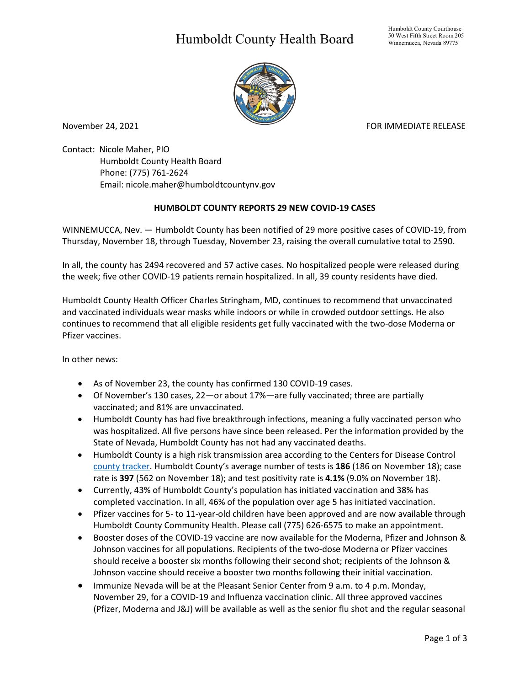## Humboldt County Health Board



November 24, 2021 **FOR IMMEDIATE RELEASE** 

Contact: Nicole Maher, PIO Humboldt County Health Board Phone: (775) 761-2624 Email: nicole.maher@humboldtcountynv.gov

## **HUMBOLDT COUNTY REPORTS 29 NEW COVID-19 CASES**

WINNEMUCCA, Nev. — Humboldt County has been notified of 29 more positive cases of COVID-19, from Thursday, November 18, through Tuesday, November 23, raising the overall cumulative total to 2590.

In all, the county has 2494 recovered and 57 active cases. No hospitalized people were released during the week; five other COVID-19 patients remain hospitalized. In all, 39 county residents have died.

Humboldt County Health Officer Charles Stringham, MD, continues to recommend that unvaccinated and vaccinated individuals wear masks while indoors or while in crowded outdoor settings. He also continues to recommend that all eligible residents get fully vaccinated with the two-dose Moderna or Pfizer vaccines.

In other news:

- As of November 23, the county has confirmed 130 COVID-19 cases.
- Of November's 130 cases, 22—or about 17%—are fully vaccinated; three are partially vaccinated; and 81% are unvaccinated.
- Humboldt County has had five breakthrough infections, meaning a fully vaccinated person who was hospitalized. All five persons have since been released. Per the information provided by the State of Nevada, Humboldt County has not had any vaccinated deaths.
- Humboldt County is a high risk transmission area according to the Centers for Disease Control [county tracker.](https://covid.cdc.gov/covid-data-tracker/#county-view) Humboldt County's average number of tests is **186** (186 on November 18); case rate is **397** (562 on November 18); and test positivity rate is **4.1%** (9.0% on November 18).
- Currently, 43% of Humboldt County's population has initiated vaccination and 38% has completed vaccination. In all, 46% of the population over age 5 has initiated vaccination.
- Pfizer vaccines for 5- to 11-year-old children have been approved and are now available through Humboldt County Community Health. Please call (775) 626-6575 to make an appointment.
- Booster doses of the COVID-19 vaccine are now available for the Moderna, Pfizer and Johnson & Johnson vaccines for all populations. Recipients of the two-dose Moderna or Pfizer vaccines should receive a booster six months following their second shot; recipients of the Johnson & Johnson vaccine should receive a booster two months following their initial vaccination.
- Immunize Nevada will be at the Pleasant Senior Center from 9 a.m. to 4 p.m. Monday, November 29, for a COVID-19 and Influenza vaccination clinic. All three approved vaccines (Pfizer, Moderna and J&J) will be available as well as the senior flu shot and the regular seasonal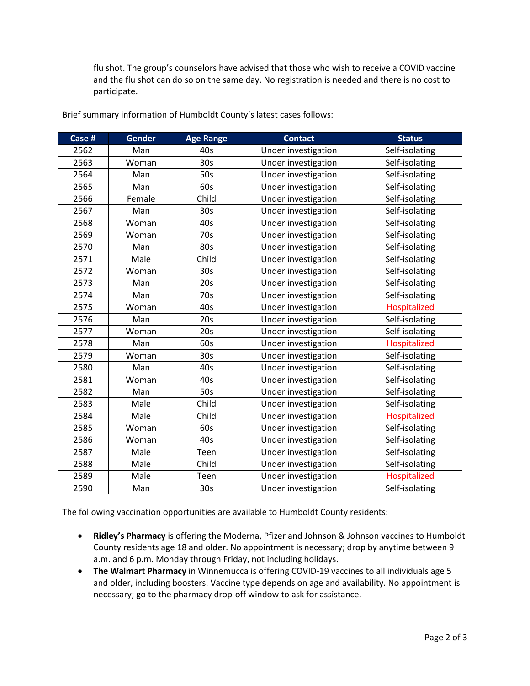flu shot. The group's counselors have advised that those who wish to receive a COVID vaccine and the flu shot can do so on the same day. No registration is needed and there is no cost to participate.

| Case # | Gender | <b>Age Range</b> | <b>Contact</b>      | <b>Status</b>  |
|--------|--------|------------------|---------------------|----------------|
| 2562   | Man    | 40s              | Under investigation | Self-isolating |
| 2563   | Woman  | 30s              | Under investigation | Self-isolating |
| 2564   | Man    | 50s              | Under investigation | Self-isolating |
| 2565   | Man    | 60s              | Under investigation | Self-isolating |
| 2566   | Female | Child            | Under investigation | Self-isolating |
| 2567   | Man    | 30 <sub>s</sub>  | Under investigation | Self-isolating |
| 2568   | Woman  | 40s              | Under investigation | Self-isolating |
| 2569   | Woman  | 70s              | Under investigation | Self-isolating |
| 2570   | Man    | 80s              | Under investigation | Self-isolating |
| 2571   | Male   | Child            | Under investigation | Self-isolating |
| 2572   | Woman  | 30 <sub>s</sub>  | Under investigation | Self-isolating |
| 2573   | Man    | 20s              | Under investigation | Self-isolating |
| 2574   | Man    | 70s              | Under investigation | Self-isolating |
| 2575   | Woman  | 40s              | Under investigation | Hospitalized   |
| 2576   | Man    | 20s              | Under investigation | Self-isolating |
| 2577   | Woman  | 20s              | Under investigation | Self-isolating |
| 2578   | Man    | 60s              | Under investigation | Hospitalized   |
| 2579   | Woman  | 30 <sub>s</sub>  | Under investigation | Self-isolating |
| 2580   | Man    | 40s              | Under investigation | Self-isolating |
| 2581   | Woman  | 40s              | Under investigation | Self-isolating |
| 2582   | Man    | 50s              | Under investigation | Self-isolating |
| 2583   | Male   | Child            | Under investigation | Self-isolating |
| 2584   | Male   | Child            | Under investigation | Hospitalized   |
| 2585   | Woman  | 60s              | Under investigation | Self-isolating |
| 2586   | Woman  | 40s              | Under investigation | Self-isolating |
| 2587   | Male   | Teen             | Under investigation | Self-isolating |
| 2588   | Male   | Child            | Under investigation | Self-isolating |
| 2589   | Male   | Teen             | Under investigation | Hospitalized   |
| 2590   | Man    | 30 <sub>s</sub>  | Under investigation | Self-isolating |

Brief summary information of Humboldt County's latest cases follows:

The following vaccination opportunities are available to Humboldt County residents:

- **Ridley's Pharmacy** is offering the Moderna, Pfizer and Johnson & Johnson vaccines to Humboldt County residents age 18 and older. No appointment is necessary; drop by anytime between 9 a.m. and 6 p.m. Monday through Friday, not including holidays.
- **The Walmart Pharmacy** in Winnemucca is offering COVID-19 vaccines to all individuals age 5 and older, including boosters. Vaccine type depends on age and availability. No appointment is necessary; go to the pharmacy drop-off window to ask for assistance.